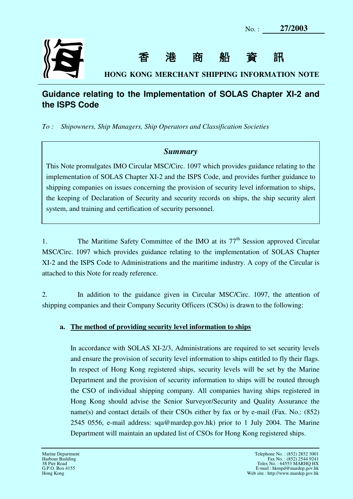| 27/2003<br>$No.$ : |
|--------------------|
|--------------------|



香港商船資訊

**HONG KONG MERCHANT SHIPPING INFORMATION NOTE** 

# **Guidance relating to the Implementation of SOLAS Chapter XI-2 and the ISPS Code**

 $To:$ *To : Shipowners, Ship Managers, Ship Operators and Classification Societies* 

# *Summary*

 This Note promulgates IMO Circular MSC/Circ. 1097 which provides guidance relating to the implementation of SOLAS Chapter XI-2 and the ISPS Code, and provides further guidance to shipping companies on issues concerning the provision of security level information to ships, the keeping of Declaration of Security and security records on ships, the ship security alert system, and training and certification of security personnel.

1. The Maritime Safety Committee of the IMO at its 77<sup>th</sup> Session approved Circular MSC/Circ. 1097 which provides guidance relating to the implementation of SOLAS Chapter XI-2 and the ISPS Code to Administrations and the maritime industry. A copy of the Circular is attached to this Note for ready reference.

 $\overline{2}$ . shipping companies and their Company Security Officers (CSOs) is drawn to the following: In addition to the guidance given in Circular MSC/Circ. 1097, the attention of

## **a. The method of providing security level information to ships**

 In accordance with SOLAS XI-2/3, Administrations are required to set security levels and ensure the provision of security level information to ships entitled to fly their flags. In respect of Hong Kong registered ships, security levels will be set by the Marine Department and the provision of security information to ships will be routed through the CSO of individual shipping company. All companies having ships registered in Hong Kong should advise the Senior Surveyor/Security and Quality Assurance the name(s) and contact details of their CSOs either by fax or by e-mail (Fax. No.: (852) 2545 0556, e-mail address: sqa@mardep.gov.hk) prior to 1 July 2004. The Marine Department will maintain an updated list of CSOs for Hong Kong registered ships.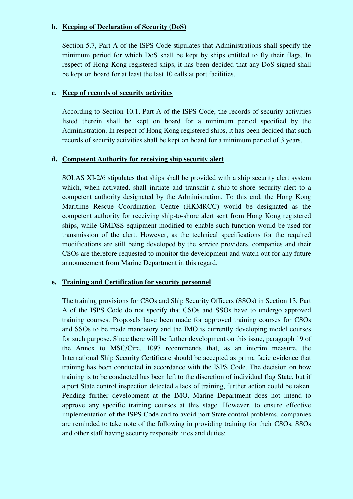#### **b. Keeping of Declaration of Security (DoS)**

 Section 5.7, Part A of the ISPS Code stipulates that Administrations shall specify the minimum period for which DoS shall be kept by ships entitled to fly their flags. In respect of Hong Kong registered ships, it has been decided that any DoS signed shall be kept on board for at least the last 10 calls at port facilities.

#### **c. Keep of records of security activities**

 According to Section 10.1, Part A of the ISPS Code, the records of security activities listed therein shall be kept on board for a minimum period specified by the Administration. In respect of Hong Kong registered ships, it has been decided that such records of security activities shall be kept on board for a minimum period of 3 years.

#### **d. Competent Authority for receiving ship security alert**

 SOLAS XI-2/6 stipulates that ships shall be provided with a ship security alert system which, when activated, shall initiate and transmit a ship-to-shore security alert to a competent authority designated by the Administration. To this end, the Hong Kong Maritime Rescue Coordination Centre (HKMRCC) would be designated as the competent authority for receiving ship-to-shore alert sent from Hong Kong registered ships, while GMDSS equipment modified to enable such function would be used for transmission of the alert. However, as the technical specifications for the required modifications are still being developed by the service providers, companies and their CSOs are therefore requested to monitor the development and watch out for any future announcement from Marine Department in this regard.

## **e. Training and Certification for security personnel**

 The training provisions for CSOs and Ship Security Officers (SSOs) in Section 13, Part A of the ISPS Code do not specify that CSOs and SSOs have to undergo approved training courses. Proposals have been made for approved training courses for CSOs and SSOs to be made mandatory and the IMO is currently developing model courses for such purpose. Since there will be further development on this issue, paragraph 19 of the Annex to MSC/Circ. 1097 recommends that, as an interim measure, the International Ship Security Certificate should be accepted as prima facie evidence that training has been conducted in accordance with the ISPS Code. The decision on how training is to be conducted has been left to the discretion of individual flag State, but if a port State control inspection detected a lack of training, further action could be taken. Pending further development at the IMO, Marine Department does not intend to approve any specific training courses at this stage. However, to ensure effective implementation of the ISPS Code and to avoid port State control problems, companies are reminded to take note of the following in providing training for their CSOs, SSOs and other staff having security responsibilities and duties: